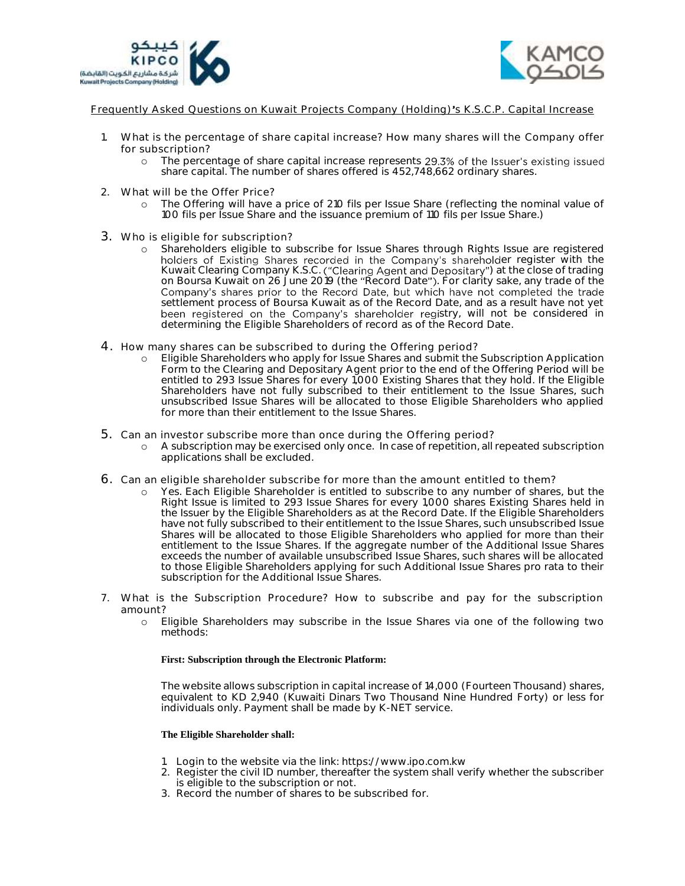



Frequently Asked Questions on Kuwait Projects Company (Holding)'s K.S.C.P. Capital Increase

- 1. What is the percentage of share capital increase? How many shares will the Company offer for subscription?
	- o The percentage of share capital increase represents 29.3% of the Issuer's existing issued share capital. The number of shares offered is 452,748,662 ordinary shares.
- 2. What will be the Offer Price?
	- o The Offering will have a price of 210 fils per Issue Share (reflecting the nominal value of 100 fils per Issue Share and the issuance premium of 110 fils per Issue Share.)
- 3. Who is eligible for subscription?
	- o Shareholders eligible to subscribe for Issue Shares through Rights Issue are registered holders of Existing Shares recorded in the Company's shareholder register with the Kuwait Clearing Company K.S.C. ("Clearing Agent and Depositary") at the close of trading on Boursa Kuwait on 26 June 2019 (the "Record Date"). For clarity sake, any trade of the Company's shares prior to the Record Date, but which have not completed the trade settlement process of Boursa Kuwait as of the Record Date, and as a result have not yet been registered on the Company's shareholder registry, will not be considered in determining the Eligible Shareholders of record as of the Record Date.
- 4. How many shares can be subscribed to during the Offering period?
	- o Eligible Shareholders who apply for Issue Shares and submit the Subscription Application Form to the Clearing and Depositary Agent prior to the end of the Offering Period will be entitled to 293 Issue Shares for every 1,000 Existing Shares that they hold. If the Eligible Shareholders have not fully subscribed to their entitlement to the Issue Shares, such unsubscribed Issue Shares will be allocated to those Eligible Shareholders who applied for more than their entitlement to the Issue Shares.
- 5. Can an investor subscribe more than once during the Offering period?
	- o A subscription may be exercised only once. In case of repetition, all repeated subscription applications shall be excluded.
- 6. Can an eligible shareholder subscribe for more than the amount entitled to them?
	- o Yes. Each Eligible Shareholder is entitled to subscribe to any number of shares, but the Right Issue is limited to 293 Issue Shares for every 1,000 shares Existing Shares held in the Issuer by the Eligible Shareholders as at the Record Date. If the Eligible Shareholders have not fully subscribed to their entitlement to the Issue Shares, such unsubscribed Issue Shares will be allocated to those Eligible Shareholders who applied for more than their entitlement to the Issue Shares. If the aggregate number of the Additional Issue Shares exceeds the number of available unsubscribed Issue Shares, such shares will be allocated to those Eligible Shareholders applying for such Additional Issue Shares pro rata to their subscription for the Additional Issue Shares.
- 7. What is the Subscription Procedure? How to subscribe and pay for the subscription amount?
	- o Eligible Shareholders may subscribe in the Issue Shares via one of the following two methods:

### **First: Subscription through the Electronic Platform:**

The website allows subscription in capital increase of 14,000 (Fourteen Thousand) shares, equivalent to KD 2,940 (Kuwaiti Dinars Two Thousand Nine Hundred Forty) or less for individuals only. Payment shall be made by K-NET service.

### **The Eligible Shareholder shall:**

- 1. Login to the website via the link: https://www.ipo.com.kw
- 2. Register the civil ID number, thereafter the system shall verify whether the subscriber is eligible to the subscription or not.
- 3. Record the number of shares to be subscribed for.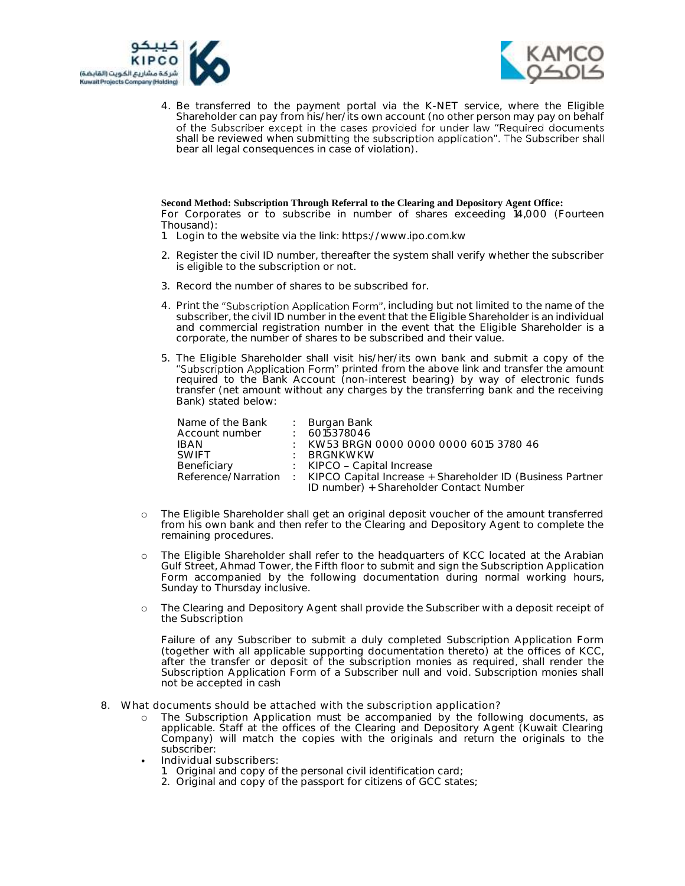



4. Be transferred to the payment portal via the K-NET service, where the Eligible Shareholder can pay from his/her/its own account (no other person may pay on behalf of the Subscriber except in the cases provided for under law "Required documents shall be reviewed when submitting the subscription application". The Subscriber shall bear all legal consequences in case of violation).

### **Second Method: Subscription Through Referral to the Clearing and Depository Agent Office:**

For Corporates or to subscribe in number of shares exceeding 14,000 (Fourteen Thousand):

1. Login to the website via the link: https://www.ipo.com.kw

- 2. Register the civil ID number, thereafter the system shall verify whether the subscriber is eligible to the subscription or not.
- 3. Record the number of shares to be subscribed for.
- 4. Print the "Subscription Application Form", including but not limited to the name of the subscriber, the civil ID number in the event that the Eligible Shareholder is an individual and commercial registration number in the event that the Eligible Shareholder is a corporate, the number of shares to be subscribed and their value.
- 5. The Eligible Shareholder shall visit his/her/its own bank and submit a copy of the "Subscription Application Form" printed from the above link and transfer the amount required to the Bank Account (non-interest bearing) by way of electronic funds transfer (net amount without any charges by the transferring bank and the receiving Bank) stated below:

| Name of the Bank | : Burgan Bank                                                                   |
|------------------|---------------------------------------------------------------------------------|
| Account number   | $\pm 6015378046$                                                                |
| IBAN             | KW53 BRGN 0000 0000 0000 6015 3780 46                                           |
| <b>SWIFT</b>     | : BRGNKWKW                                                                      |
| Beneficiary      | $\therefore$ KIPCO – Capital Increase                                           |
|                  | Reference/Narration : KIPCO Capital Increase + Shareholder ID (Business Partner |
|                  | ID number) + Shareholder Contact Number                                         |

- o The Eligible Shareholder shall get an original deposit voucher of the amount transferred from his own bank and then refer to the Clearing and Depository Agent to complete the remaining procedures.
- o The Eligible Shareholder shall refer to the headquarters of KCC located at the Arabian Gulf Street, Ahmad Tower, the Fifth floor to submit and sign the Subscription Application Form accompanied by the following documentation during normal working hours, Sunday to Thursday inclusive.
- o The Clearing and Depository Agent shall provide the Subscriber with a deposit receipt of the Subscription

Failure of any Subscriber to submit a duly completed Subscription Application Form (together with all applicable supporting documentation thereto) at the offices of KCC, after the transfer or deposit of the subscription monies as required, shall render the Subscription Application Form of a Subscriber null and void. Subscription monies shall not be accepted in cash

- 8. What documents should be attached with the subscription application?
	- The Subscription Application must be accompanied by the following documents, as applicable. Staff at the offices of the Clearing and Depository Agent (Kuwait Clearing Company) will match the copies with the originals and return the originals to the subscriber:
	- Individual subscribers:
		- 1. Original and copy of the personal civil identification card;
		- 2. Original and copy of the passport for citizens of GCC states;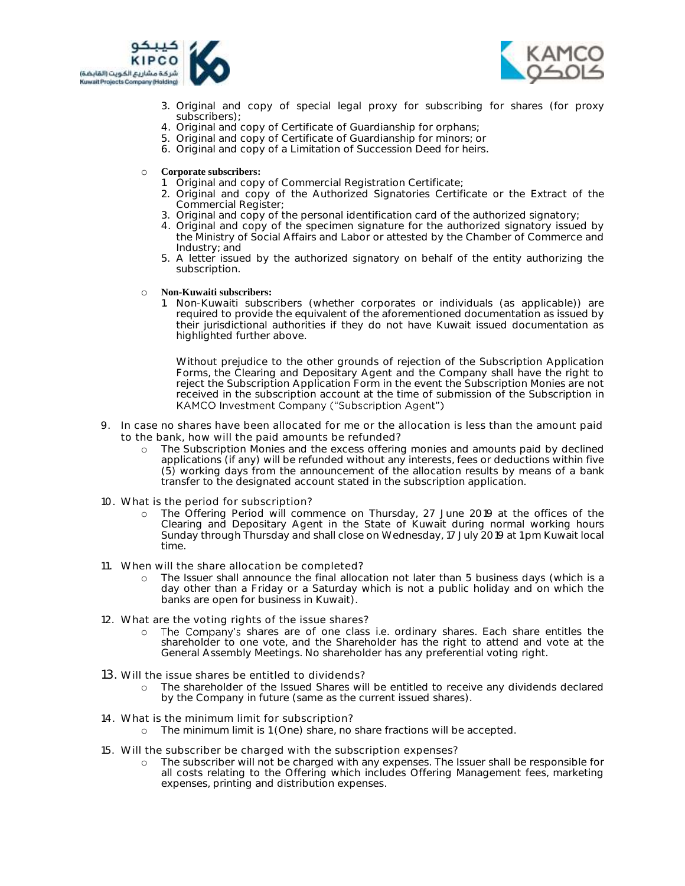



- 3. Original and copy of special legal proxy for subscribing for shares (for proxy subscribers);
- 4. Original and copy of Certificate of Guardianship for orphans;
- 5. Original and copy of Certificate of Guardianship for minors; or
- 6. Original and copy of a Limitation of Succession Deed for heirs.

# o **Corporate subscribers:**

- 1. Original and copy of Commercial Registration Certificate;
- 2. Original and copy of the Authorized Signatories Certificate or the Extract of the Commercial Register;
- 3. Original and copy of the personal identification card of the authorized signatory;
- 4. Original and copy of the specimen signature for the authorized signatory issued by the Ministry of Social Affairs and Labor or attested by the Chamber of Commerce and Industry; and
- 5. A letter issued by the authorized signatory on behalf of the entity authorizing the subscription.

## o **Non-Kuwaiti subscribers:**

1. Non-Kuwaiti subscribers (whether corporates or individuals (as applicable)) are required to provide the equivalent of the aforementioned documentation as issued by their jurisdictional authorities if they do not have Kuwait issued documentation as highlighted further above.

Without prejudice to the other grounds of rejection of the Subscription Application Forms, the Clearing and Depositary Agent and the Company shall have the right to reject the Subscription Application Form in the event the Subscription Monies are not received in the subscription account at the time of submission of the Subscription in KAMCO Investment Company ("Subscription Agent")

- 9. In case no shares have been allocated for me or the allocation is less than the amount paid to the bank, how will the paid amounts be refunded?
	- o The Subscription Monies and the excess offering monies and amounts paid by declined applications (if any) will be refunded without any interests, fees or deductions within five (5) working days from the announcement of the allocation results by means of a bank transfer to the designated account stated in the subscription application.
- 10. What is the period for subscription?
	- o The Offering Period will commence on Thursday, 27 June 2019 at the offices of the Clearing and Depositary Agent in the State of Kuwait during normal working hours Sunday through Thursday and shall close on Wednesday, 17 July 2019 at 1 pm Kuwait local time.
- 11. When will the share allocation be completed?
	- The Issuer shall announce the final allocation not later than 5 business days (which is a day other than a Friday or a Saturday which is not a public holiday and on which the banks are open for business in Kuwait).
- 12. What are the voting rights of the issue shares?
	- o The Company's shares are of one class i.e. ordinary shares. Each share entitles the shareholder to one vote, and the Shareholder has the right to attend and vote at the General Assembly Meetings. No shareholder has any preferential voting right.
- 13. Will the issue shares be entitled to dividends?
	- o The shareholder of the Issued Shares will be entitled to receive any dividends declared by the Company in future (same as the current issued shares).
- 14. What is the minimum limit for subscription?
	- o The minimum limit is 1 (One) share, no share fractions will be accepted.
- 15. Will the subscriber be charged with the subscription expenses?
	- o The subscriber will not be charged with any expenses. The Issuer shall be responsible for all costs relating to the Offering which includes Offering Management fees, marketing expenses, printing and distribution expenses.